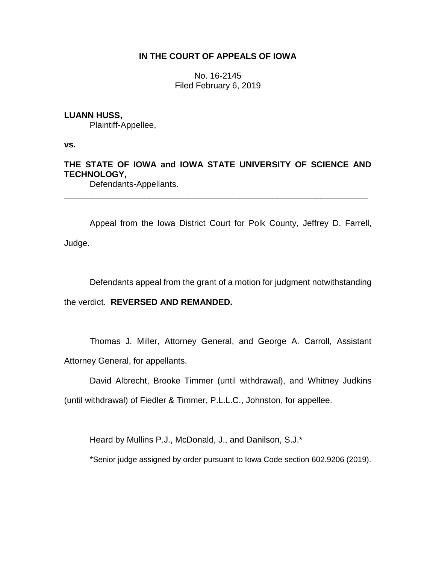## **IN THE COURT OF APPEALS OF IOWA**

No. 16-2145 Filed February 6, 2019

### **LUANN HUSS,**

Plaintiff-Appellee,

**vs.**

# **THE STATE OF IOWA and IOWA STATE UNIVERSITY OF SCIENCE AND TECHNOLOGY,**

\_\_\_\_\_\_\_\_\_\_\_\_\_\_\_\_\_\_\_\_\_\_\_\_\_\_\_\_\_\_\_\_\_\_\_\_\_\_\_\_\_\_\_\_\_\_\_\_\_\_\_\_\_\_\_\_\_\_\_\_\_\_\_\_

Defendants-Appellants.

Appeal from the Iowa District Court for Polk County, Jeffrey D. Farrell, Judge.

Defendants appeal from the grant of a motion for judgment notwithstanding

the verdict. **REVERSED AND REMANDED.** 

Thomas J. Miller, Attorney General, and George A. Carroll, Assistant Attorney General, for appellants.

David Albrecht, Brooke Timmer (until withdrawal), and Whitney Judkins

(until withdrawal) of Fiedler & Timmer, P.L.L.C., Johnston, for appellee.

Heard by Mullins P.J., McDonald, J., and Danilson, S.J.\*

\*Senior judge assigned by order pursuant to Iowa Code section 602.9206 (2019).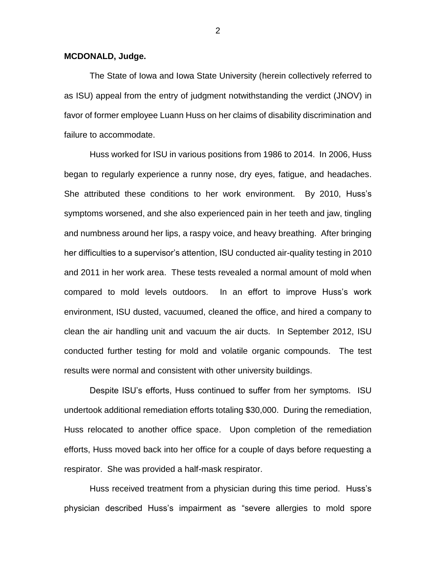#### **MCDONALD, Judge.**

The State of Iowa and Iowa State University (herein collectively referred to as ISU) appeal from the entry of judgment notwithstanding the verdict (JNOV) in favor of former employee Luann Huss on her claims of disability discrimination and failure to accommodate.

Huss worked for ISU in various positions from 1986 to 2014. In 2006, Huss began to regularly experience a runny nose, dry eyes, fatigue, and headaches. She attributed these conditions to her work environment. By 2010, Huss's symptoms worsened, and she also experienced pain in her teeth and jaw, tingling and numbness around her lips, a raspy voice, and heavy breathing. After bringing her difficulties to a supervisor's attention, ISU conducted air-quality testing in 2010 and 2011 in her work area. These tests revealed a normal amount of mold when compared to mold levels outdoors. In an effort to improve Huss's work environment, ISU dusted, vacuumed, cleaned the office, and hired a company to clean the air handling unit and vacuum the air ducts. In September 2012, ISU conducted further testing for mold and volatile organic compounds. The test results were normal and consistent with other university buildings.

Despite ISU's efforts, Huss continued to suffer from her symptoms. ISU undertook additional remediation efforts totaling \$30,000. During the remediation, Huss relocated to another office space. Upon completion of the remediation efforts, Huss moved back into her office for a couple of days before requesting a respirator. She was provided a half-mask respirator.

Huss received treatment from a physician during this time period. Huss's physician described Huss's impairment as "severe allergies to mold spore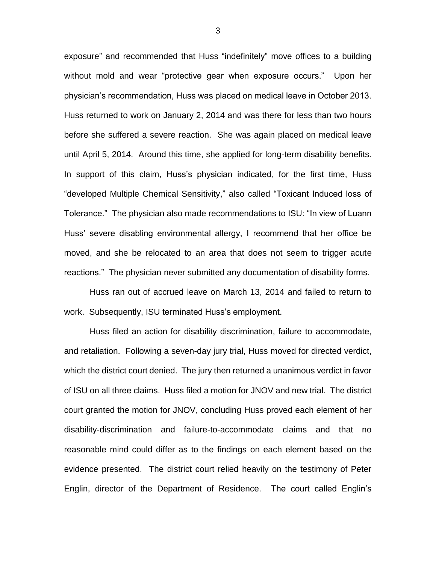exposure" and recommended that Huss "indefinitely" move offices to a building without mold and wear "protective gear when exposure occurs." Upon her physician's recommendation, Huss was placed on medical leave in October 2013. Huss returned to work on January 2, 2014 and was there for less than two hours before she suffered a severe reaction. She was again placed on medical leave until April 5, 2014. Around this time, she applied for long-term disability benefits. In support of this claim, Huss's physician indicated, for the first time, Huss "developed Multiple Chemical Sensitivity," also called "Toxicant Induced loss of Tolerance." The physician also made recommendations to ISU: "In view of Luann Huss' severe disabling environmental allergy, I recommend that her office be moved, and she be relocated to an area that does not seem to trigger acute reactions." The physician never submitted any documentation of disability forms.

Huss ran out of accrued leave on March 13, 2014 and failed to return to work. Subsequently, ISU terminated Huss's employment.

Huss filed an action for disability discrimination, failure to accommodate, and retaliation. Following a seven-day jury trial, Huss moved for directed verdict, which the district court denied. The jury then returned a unanimous verdict in favor of ISU on all three claims. Huss filed a motion for JNOV and new trial. The district court granted the motion for JNOV, concluding Huss proved each element of her disability-discrimination and failure-to-accommodate claims and that no reasonable mind could differ as to the findings on each element based on the evidence presented. The district court relied heavily on the testimony of Peter Englin, director of the Department of Residence. The court called Englin's

3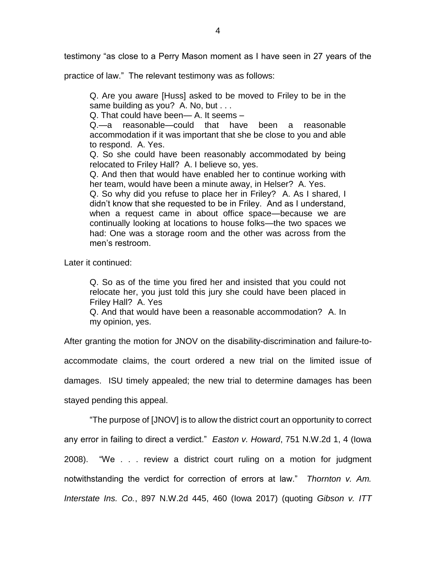testimony "as close to a Perry Mason moment as I have seen in 27 years of the

practice of law." The relevant testimony was as follows:

Q. Are you aware [Huss] asked to be moved to Friley to be in the same building as you? A. No, but . . .

Q. That could have been— A. It seems –

Q.—a reasonable—could that have been a reasonable accommodation if it was important that she be close to you and able to respond. A. Yes.

Q. So she could have been reasonably accommodated by being relocated to Friley Hall? A. I believe so, yes.

Q. And then that would have enabled her to continue working with her team, would have been a minute away, in Helser? A. Yes.

Q. So why did you refuse to place her in Friley? A. As I shared, I didn't know that she requested to be in Friley. And as I understand, when a request came in about office space—because we are continually looking at locations to house folks—the two spaces we had: One was a storage room and the other was across from the men's restroom.

Later it continued:

Q. So as of the time you fired her and insisted that you could not relocate her, you just told this jury she could have been placed in Friley Hall? A. Yes

Q. And that would have been a reasonable accommodation? A. In my opinion, yes.

After granting the motion for JNOV on the disability-discrimination and failure-to-

accommodate claims, the court ordered a new trial on the limited issue of

damages. ISU timely appealed; the new trial to determine damages has been

stayed pending this appeal.

"The purpose of [JNOV] is to allow the district court an opportunity to correct any error in failing to direct a verdict." *Easton v. Howard*, 751 N.W.2d 1, 4 (Iowa 2008). "We . . . review a district court ruling on a motion for judgment notwithstanding the verdict for correction of errors at law." *Thornton v. Am. Interstate Ins. Co.*, 897 N.W.2d 445, 460 (Iowa 2017) (quoting *Gibson v. ITT*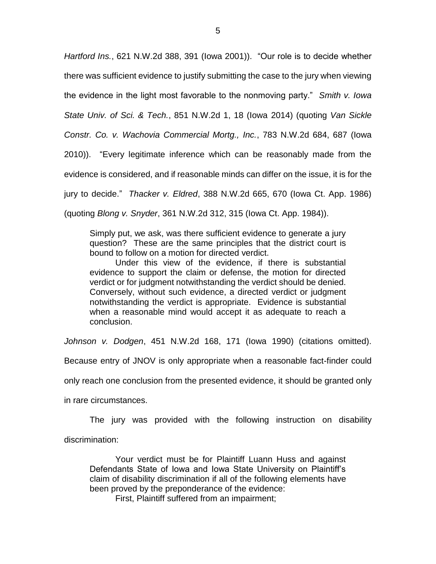*Hartford Ins.*, 621 N.W.2d 388, 391 (Iowa 2001)). "Our role is to decide whether there was sufficient evidence to justify submitting the case to the jury when viewing the evidence in the light most favorable to the nonmoving party." *Smith v. Iowa State Univ. of Sci. & Tech.*, 851 N.W.2d 1, 18 (Iowa 2014) (quoting *Van Sickle Constr. Co. v. Wachovia Commercial Mortg., Inc.*, 783 N.W.2d 684, 687 (Iowa 2010)). "Every legitimate inference which can be reasonably made from the evidence is considered, and if reasonable minds can differ on the issue, it is for the jury to decide." *Thacker v. Eldred*, 388 N.W.2d 665, 670 (Iowa Ct. App. 1986) (quoting *Blong v. Snyder*, 361 N.W.2d 312, 315 (Iowa Ct. App. 1984)).

Simply put, we ask, was there sufficient evidence to generate a jury question? These are the same principles that the district court is bound to follow on a motion for directed verdict.

Under this view of the evidence, if there is substantial evidence to support the claim or defense, the motion for directed verdict or for judgment notwithstanding the verdict should be denied. Conversely, without such evidence, a directed verdict or judgment notwithstanding the verdict is appropriate. Evidence is substantial when a reasonable mind would accept it as adequate to reach a conclusion.

*Johnson v. Dodgen*, 451 N.W.2d 168, 171 (Iowa 1990) (citations omitted).

Because entry of JNOV is only appropriate when a reasonable fact-finder could

only reach one conclusion from the presented evidence, it should be granted only

in rare circumstances.

The jury was provided with the following instruction on disability discrimination:

Your verdict must be for Plaintiff Luann Huss and against Defendants State of Iowa and Iowa State University on Plaintiff's claim of disability discrimination if all of the following elements have been proved by the preponderance of the evidence:

First, Plaintiff suffered from an impairment;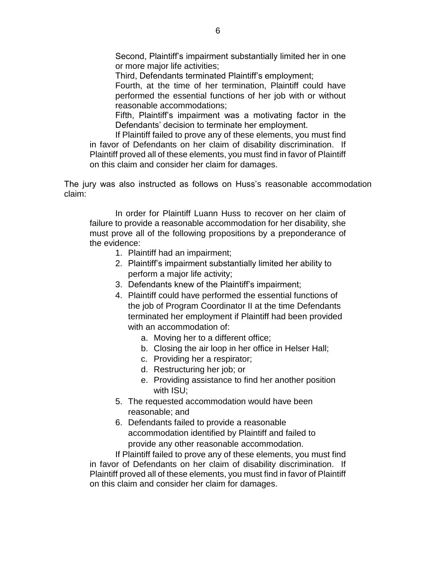Second, Plaintiff's impairment substantially limited her in one or more major life activities;

Third, Defendants terminated Plaintiff's employment;

Fourth, at the time of her termination, Plaintiff could have performed the essential functions of her job with or without reasonable accommodations;

Fifth, Plaintiff's impairment was a motivating factor in the Defendants' decision to terminate her employment.

If Plaintiff failed to prove any of these elements, you must find in favor of Defendants on her claim of disability discrimination. If Plaintiff proved all of these elements, you must find in favor of Plaintiff on this claim and consider her claim for damages.

The jury was also instructed as follows on Huss's reasonable accommodation claim:

In order for Plaintiff Luann Huss to recover on her claim of failure to provide a reasonable accommodation for her disability, she must prove all of the following propositions by a preponderance of the evidence:

- 1. Plaintiff had an impairment;
- 2. Plaintiff's impairment substantially limited her ability to perform a major life activity;
- 3. Defendants knew of the Plaintiff's impairment;
- 4. Plaintiff could have performed the essential functions of the job of Program Coordinator II at the time Defendants terminated her employment if Plaintiff had been provided with an accommodation of:
	- a. Moving her to a different office;
	- b. Closing the air loop in her office in Helser Hall;
	- c. Providing her a respirator;
	- d. Restructuring her job; or
	- e. Providing assistance to find her another position with ISU;
- 5. The requested accommodation would have been reasonable; and
- 6. Defendants failed to provide a reasonable accommodation identified by Plaintiff and failed to provide any other reasonable accommodation.

If Plaintiff failed to prove any of these elements, you must find in favor of Defendants on her claim of disability discrimination. If Plaintiff proved all of these elements, you must find in favor of Plaintiff on this claim and consider her claim for damages.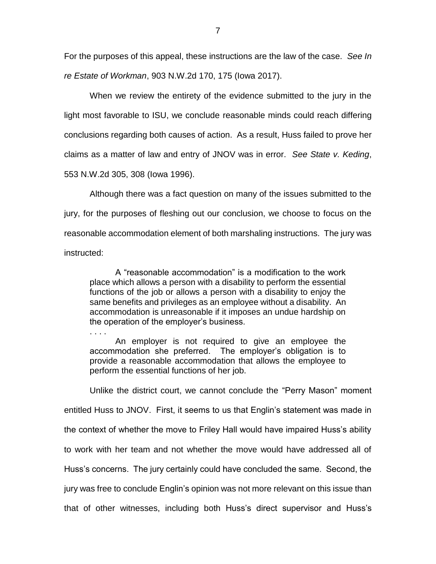For the purposes of this appeal, these instructions are the law of the case. *See In re Estate of Workman*, 903 N.W.2d 170, 175 (Iowa 2017).

When we review the entirety of the evidence submitted to the jury in the light most favorable to ISU, we conclude reasonable minds could reach differing conclusions regarding both causes of action. As a result, Huss failed to prove her claims as a matter of law and entry of JNOV was in error. *See State v. Keding*, 553 N.W.2d 305, 308 (Iowa 1996).

Although there was a fact question on many of the issues submitted to the jury, for the purposes of fleshing out our conclusion, we choose to focus on the reasonable accommodation element of both marshaling instructions. The jury was instructed:

A "reasonable accommodation" is a modification to the work place which allows a person with a disability to perform the essential functions of the job or allows a person with a disability to enjoy the same benefits and privileges as an employee without a disability. An accommodation is unreasonable if it imposes an undue hardship on the operation of the employer's business.

An employer is not required to give an employee the accommodation she preferred. The employer's obligation is to provide a reasonable accommodation that allows the employee to perform the essential functions of her job.

. . . .

Unlike the district court, we cannot conclude the "Perry Mason" moment entitled Huss to JNOV. First, it seems to us that Englin's statement was made in the context of whether the move to Friley Hall would have impaired Huss's ability to work with her team and not whether the move would have addressed all of Huss's concerns. The jury certainly could have concluded the same. Second, the jury was free to conclude Englin's opinion was not more relevant on this issue than that of other witnesses, including both Huss's direct supervisor and Huss's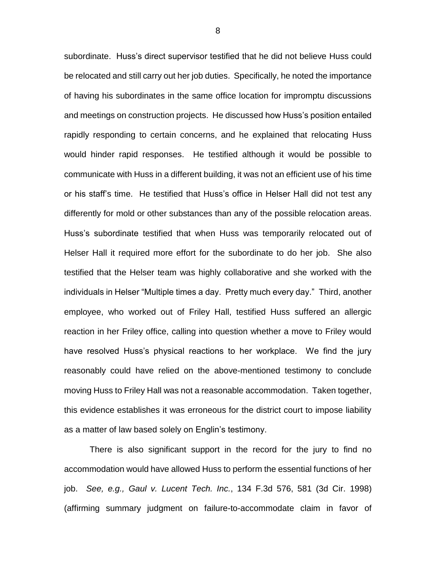subordinate. Huss's direct supervisor testified that he did not believe Huss could be relocated and still carry out her job duties. Specifically, he noted the importance of having his subordinates in the same office location for impromptu discussions and meetings on construction projects. He discussed how Huss's position entailed rapidly responding to certain concerns, and he explained that relocating Huss would hinder rapid responses. He testified although it would be possible to communicate with Huss in a different building, it was not an efficient use of his time or his staff's time. He testified that Huss's office in Helser Hall did not test any differently for mold or other substances than any of the possible relocation areas. Huss's subordinate testified that when Huss was temporarily relocated out of Helser Hall it required more effort for the subordinate to do her job. She also testified that the Helser team was highly collaborative and she worked with the individuals in Helser "Multiple times a day. Pretty much every day." Third, another employee, who worked out of Friley Hall, testified Huss suffered an allergic reaction in her Friley office, calling into question whether a move to Friley would have resolved Huss's physical reactions to her workplace. We find the jury reasonably could have relied on the above-mentioned testimony to conclude moving Huss to Friley Hall was not a reasonable accommodation. Taken together, this evidence establishes it was erroneous for the district court to impose liability as a matter of law based solely on Englin's testimony.

There is also significant support in the record for the jury to find no accommodation would have allowed Huss to perform the essential functions of her job. *See, e.g., Gaul v. Lucent Tech. Inc.*, 134 F.3d 576, 581 (3d Cir. 1998) (affirming summary judgment on failure-to-accommodate claim in favor of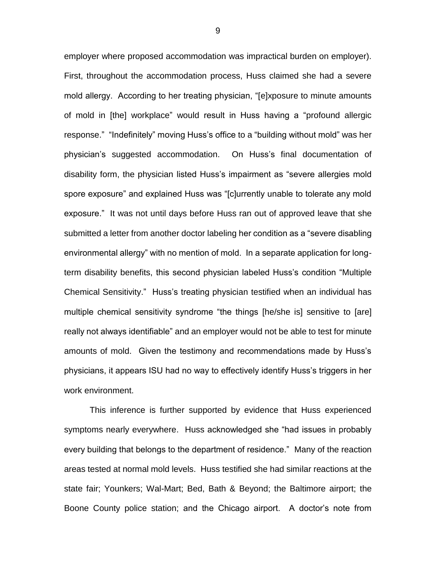employer where proposed accommodation was impractical burden on employer). First, throughout the accommodation process, Huss claimed she had a severe mold allergy. According to her treating physician, "[e]xposure to minute amounts of mold in [the] workplace" would result in Huss having a "profound allergic response." "Indefinitely" moving Huss's office to a "building without mold" was her physician's suggested accommodation. On Huss's final documentation of disability form, the physician listed Huss's impairment as "severe allergies mold spore exposure" and explained Huss was "[c]urrently unable to tolerate any mold exposure." It was not until days before Huss ran out of approved leave that she submitted a letter from another doctor labeling her condition as a "severe disabling environmental allergy" with no mention of mold. In a separate application for longterm disability benefits, this second physician labeled Huss's condition "Multiple Chemical Sensitivity." Huss's treating physician testified when an individual has multiple chemical sensitivity syndrome "the things [he/she is] sensitive to [are] really not always identifiable" and an employer would not be able to test for minute amounts of mold. Given the testimony and recommendations made by Huss's physicians, it appears ISU had no way to effectively identify Huss's triggers in her work environment.

This inference is further supported by evidence that Huss experienced symptoms nearly everywhere. Huss acknowledged she "had issues in probably every building that belongs to the department of residence." Many of the reaction areas tested at normal mold levels. Huss testified she had similar reactions at the state fair; Younkers; Wal-Mart; Bed, Bath & Beyond; the Baltimore airport; the Boone County police station; and the Chicago airport. A doctor's note from

9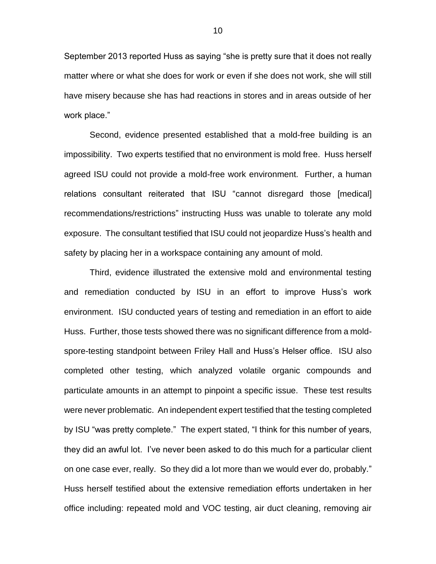September 2013 reported Huss as saying "she is pretty sure that it does not really matter where or what she does for work or even if she does not work, she will still have misery because she has had reactions in stores and in areas outside of her work place."

Second, evidence presented established that a mold-free building is an impossibility. Two experts testified that no environment is mold free. Huss herself agreed ISU could not provide a mold-free work environment. Further, a human relations consultant reiterated that ISU "cannot disregard those [medical] recommendations/restrictions" instructing Huss was unable to tolerate any mold exposure. The consultant testified that ISU could not jeopardize Huss's health and safety by placing her in a workspace containing any amount of mold.

Third, evidence illustrated the extensive mold and environmental testing and remediation conducted by ISU in an effort to improve Huss's work environment. ISU conducted years of testing and remediation in an effort to aide Huss. Further, those tests showed there was no significant difference from a moldspore-testing standpoint between Friley Hall and Huss's Helser office. ISU also completed other testing, which analyzed volatile organic compounds and particulate amounts in an attempt to pinpoint a specific issue. These test results were never problematic. An independent expert testified that the testing completed by ISU "was pretty complete." The expert stated, "I think for this number of years, they did an awful lot. I've never been asked to do this much for a particular client on one case ever, really. So they did a lot more than we would ever do, probably." Huss herself testified about the extensive remediation efforts undertaken in her office including: repeated mold and VOC testing, air duct cleaning, removing air